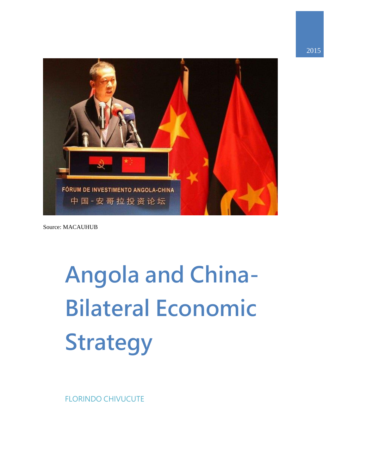

Source: MACAUHUB

# **Angola and China-Bilateral Economic Strategy**

FLORINDO CHIVUCUTE

2015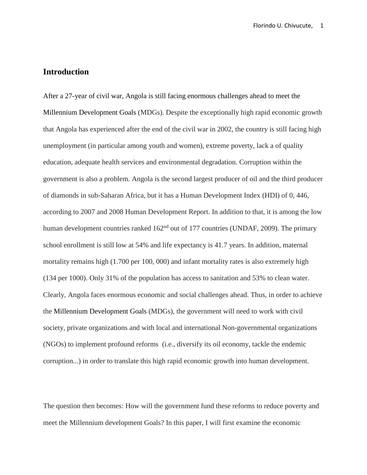# **Introduction**

After a 27-year of civil war, Angola is still facing enormous challenges ahead to meet the Millennium Development Goals (MDGs). Despite the exceptionally high rapid economic growth that Angola has experienced after the end of the civil war in 2002, the country is still facing high unemployment (in particular among youth and women), extreme poverty, lack a of quality education, adequate health services and environmental degradation. Corruption within the government is also a problem. Angola is the second largest producer of oil and the third producer of diamonds in sub-Saharan Africa, but it has a Human Development Index (HDI) of 0, 446, according to 2007 and 2008 Human Development Report. In addition to that, it is among the low human development countries ranked  $162<sup>nd</sup>$  out of 177 countries (UNDAF, 2009). The primary school enrollment is still low at 54% and life expectancy is 41.7 years. In addition, maternal mortality remains high (1.700 per 100, 000) and infant mortality rates is also extremely high (134 per 1000). Only 31% of the population has access to sanitation and 53% to clean water. Clearly, Angola faces enormous economic and social challenges ahead. Thus, in order to achieve the Millennium Development Goals (MDGs), the government will need to work with civil society, private organizations and with local and international Non-governmental organizations (NGOs) to implement profound reforms (i.e., diversify its oil economy, tackle the endemic corruption...) in order to translate this high rapid economic growth into human development.

The question then becomes: How will the government fund these reforms to reduce poverty and meet the Millennium development Goals? In this paper, I will first examine the economic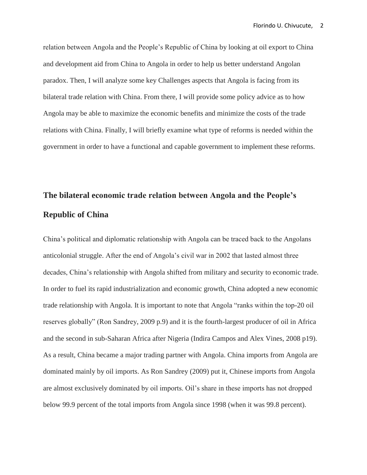relation between Angola and the People's Republic of China by looking at oil export to China and development aid from China to Angola in order to help us better understand Angolan paradox. Then, I will analyze some key Challenges aspects that Angola is facing from its bilateral trade relation with China. From there, I will provide some policy advice as to how Angola may be able to maximize the economic benefits and minimize the costs of the trade relations with China. Finally, I will briefly examine what type of reforms is needed within the government in order to have a functional and capable government to implement these reforms.

# **The bilateral economic trade relation between Angola and the People's Republic of China**

China's political and diplomatic relationship with Angola can be traced back to the Angolans anticolonial struggle. After the end of Angola's civil war in 2002 that lasted almost three decades, China's relationship with Angola shifted from military and security to economic trade. In order to fuel its rapid industrialization and economic growth, China adopted a new economic trade relationship with Angola. It is important to note that Angola "ranks within the top-20 oil reserves globally" (Ron Sandrey, 2009 p.9) and it is the fourth-largest producer of oil in Africa and the second in sub-Saharan Africa after Nigeria (Indira Campos and Alex Vines, 2008 p19). As a result, China became a major trading partner with Angola. China imports from Angola are dominated mainly by oil imports. As Ron Sandrey (2009) put it, Chinese imports from Angola are almost exclusively dominated by oil imports. Oil's share in these imports has not dropped below 99.9 percent of the total imports from Angola since 1998 (when it was 99.8 percent).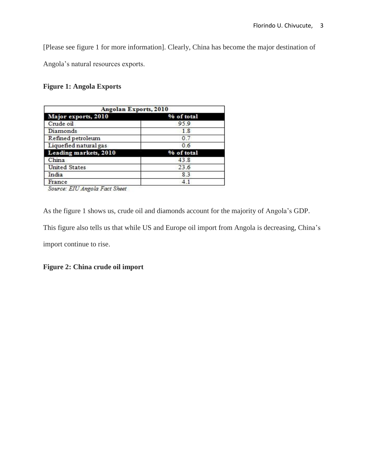[Please see figure 1 for more information]. Clearly, China has become the major destination of

Angola's natural resources exports.

# **Figure 1: Angola Exports**

| <b>Angolan Exports, 2010</b> |            |
|------------------------------|------------|
| Major exports, 2010          | % of total |
| Crude oil                    | 95.9       |
| Diamonds                     | 1.8        |
| Refined petroleum            | 07         |
| Liquefied natural gas        | 0.6        |
| Leading markets, 2010        | % of total |
| China                        | 43.8       |
| <b>United States</b>         | 23.6       |
| India                        | 83         |
| France                       | 41         |

Source: EIU Angola Fact Sheet

As the figure 1 shows us, crude oil and diamonds account for the majority of Angola's GDP.

This figure also tells us that while US and Europe oil import from Angola is decreasing, China's

import continue to rise.

**Figure 2: China crude oil import**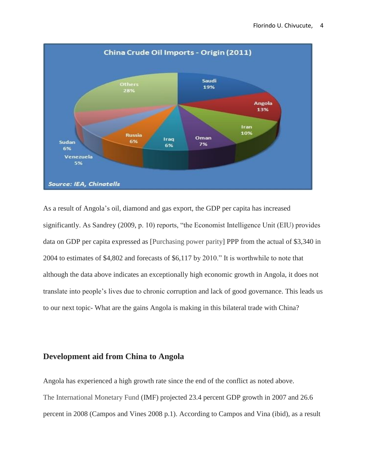

As a result of Angola's oil, diamond and gas export, the GDP per capita has increased significantly. As Sandrey (2009, p. 10) reports, "the Economist Intelligence Unit (EIU) provides data on GDP per capita expressed as [Purchasing power parity] PPP from the actual of \$3,340 in 2004 to estimates of \$4,802 and forecasts of \$6,117 by 2010." It is worthwhile to note that although the data above indicates an exceptionally high economic growth in Angola, it does not translate into people's lives due to chronic corruption and lack of good governance. This leads us to our next topic- What are the gains Angola is making in this bilateral trade with China?

# **Development aid from China to Angola**

Angola has experienced a high growth rate since the end of the conflict as noted above. The International Monetary Fund (IMF) projected 23.4 percent GDP growth in 2007 and 26.6 percent in 2008 (Campos and Vines 2008 p.1). According to Campos and Vina (ibid), as a result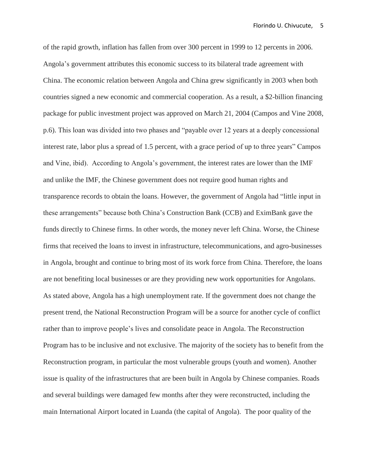of the rapid growth, inflation has fallen from over 300 percent in 1999 to 12 percents in 2006. Angola's government attributes this economic success to its bilateral trade agreement with China. The economic relation between Angola and China grew significantly in 2003 when both countries signed a new economic and commercial cooperation. As a result, a \$2-billion financing package for public investment project was approved on March 21, 2004 (Campos and Vine 2008, p.6). This loan was divided into two phases and "payable over 12 years at a deeply concessional interest rate, labor plus a spread of 1.5 percent, with a grace period of up to three years" Campos and Vine, ibid). According to Angola's government, the interest rates are lower than the IMF and unlike the IMF, the Chinese government does not require good human rights and transparence records to obtain the loans. However, the government of Angola had "little input in these arrangements" because both China's Construction Bank (CCB) and EximBank gave the funds directly to Chinese firms. In other words, the money never left China. Worse, the Chinese firms that received the loans to invest in infrastructure, telecommunications, and agro-businesses in Angola, brought and continue to bring most of its work force from China. Therefore, the loans are not benefiting local businesses or are they providing new work opportunities for Angolans. As stated above, Angola has a high unemployment rate. If the government does not change the present trend, the National Reconstruction Program will be a source for another cycle of conflict rather than to improve people's lives and consolidate peace in Angola. The Reconstruction Program has to be inclusive and not exclusive. The majority of the society has to benefit from the Reconstruction program, in particular the most vulnerable groups (youth and women). Another issue is quality of the infrastructures that are been built in Angola by Chinese companies. Roads and several buildings were damaged few months after they were reconstructed, including the main International Airport located in Luanda (the capital of Angola). The poor quality of the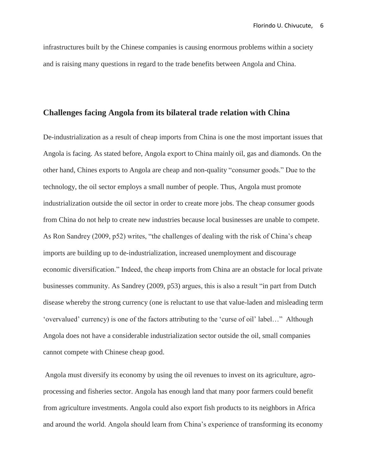infrastructures built by the Chinese companies is causing enormous problems within a society and is raising many questions in regard to the trade benefits between Angola and China.

#### **Challenges facing Angola from its bilateral trade relation with China**

De-industrialization as a result of cheap imports from China is one the most important issues that Angola is facing. As stated before, Angola export to China mainly oil, gas and diamonds. On the other hand, Chines exports to Angola are cheap and non-quality "consumer goods." Due to the technology, the oil sector employs a small number of people. Thus, Angola must promote industrialization outside the oil sector in order to create more jobs. The cheap consumer goods from China do not help to create new industries because local businesses are unable to compete. As Ron Sandrey (2009, p52) writes, "the challenges of dealing with the risk of China's cheap imports are building up to de-industrialization, increased unemployment and discourage economic diversification." Indeed, the cheap imports from China are an obstacle for local private businesses community. As Sandrey (2009, p53) argues, this is also a result "in part from Dutch disease whereby the strong currency (one is reluctant to use that value-laden and misleading term 'overvalued' currency) is one of the factors attributing to the 'curse of oil' label…" Although Angola does not have a considerable industrialization sector outside the oil, small companies cannot compete with Chinese cheap good.

Angola must diversify its economy by using the oil revenues to invest on its agriculture, agroprocessing and fisheries sector. Angola has enough land that many poor farmers could benefit from agriculture investments. Angola could also export fish products to its neighbors in Africa and around the world. Angola should learn from China's experience of transforming its economy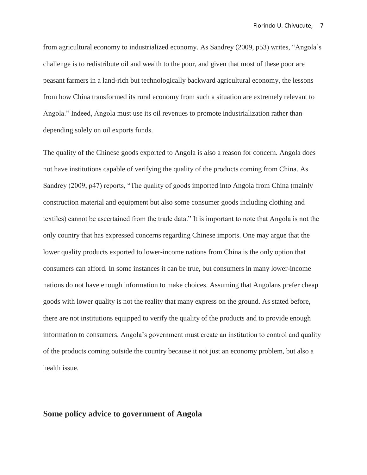from agricultural economy to industrialized economy. As Sandrey (2009, p53) writes, "Angola's challenge is to redistribute oil and wealth to the poor, and given that most of these poor are peasant farmers in a land-rich but technologically backward agricultural economy, the lessons from how China transformed its rural economy from such a situation are extremely relevant to Angola." Indeed, Angola must use its oil revenues to promote industrialization rather than depending solely on oil exports funds.

The quality of the Chinese goods exported to Angola is also a reason for concern. Angola does not have institutions capable of verifying the quality of the products coming from China. As Sandrey (2009, p47) reports, "The quality of goods imported into Angola from China (mainly construction material and equipment but also some consumer goods including clothing and textiles) cannot be ascertained from the trade data." It is important to note that Angola is not the only country that has expressed concerns regarding Chinese imports. One may argue that the lower quality products exported to lower-income nations from China is the only option that consumers can afford. In some instances it can be true, but consumers in many lower-income nations do not have enough information to make choices. Assuming that Angolans prefer cheap goods with lower quality is not the reality that many express on the ground. As stated before, there are not institutions equipped to verify the quality of the products and to provide enough information to consumers. Angola's government must create an institution to control and quality of the products coming outside the country because it not just an economy problem, but also a health issue.

# **Some policy advice to government of Angola**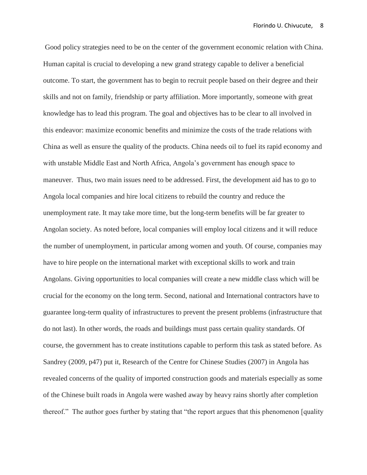Good policy strategies need to be on the center of the government economic relation with China. Human capital is crucial to developing a new grand strategy capable to deliver a beneficial outcome. To start, the government has to begin to recruit people based on their degree and their skills and not on family, friendship or party affiliation. More importantly, someone with great knowledge has to lead this program. The goal and objectives has to be clear to all involved in this endeavor: maximize economic benefits and minimize the costs of the trade relations with China as well as ensure the quality of the products. China needs oil to fuel its rapid economy and with unstable Middle East and North Africa, Angola's government has enough space to maneuver. Thus, two main issues need to be addressed. First, the development aid has to go to Angola local companies and hire local citizens to rebuild the country and reduce the unemployment rate. It may take more time, but the long-term benefits will be far greater to Angolan society. As noted before, local companies will employ local citizens and it will reduce the number of unemployment, in particular among women and youth. Of course, companies may have to hire people on the international market with exceptional skills to work and train Angolans. Giving opportunities to local companies will create a new middle class which will be crucial for the economy on the long term. Second, national and International contractors have to guarantee long-term quality of infrastructures to prevent the present problems (infrastructure that do not last). In other words, the roads and buildings must pass certain quality standards. Of course, the government has to create institutions capable to perform this task as stated before. As Sandrey (2009, p47) put it, Research of the Centre for Chinese Studies (2007) in Angola has revealed concerns of the quality of imported construction goods and materials especially as some of the Chinese built roads in Angola were washed away by heavy rains shortly after completion thereof." The author goes further by stating that "the report argues that this phenomenon [quality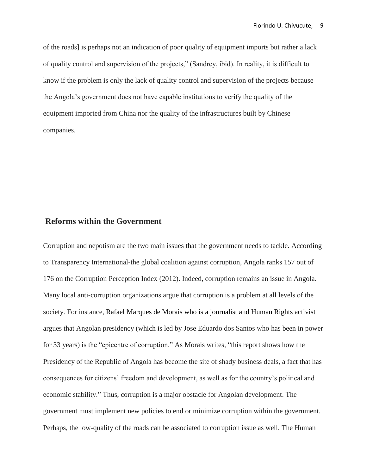of the roads] is perhaps not an indication of poor quality of equipment imports but rather a lack of quality control and supervision of the projects," (Sandrey, ibid). In reality, it is difficult to know if the problem is only the lack of quality control and supervision of the projects because the Angola's government does not have capable institutions to verify the quality of the equipment imported from China nor the quality of the infrastructures built by Chinese companies.

# **Reforms within the Government**

Corruption and nepotism are the two main issues that the government needs to tackle. According to Transparency International-the global coalition against corruption, Angola ranks 157 out of 176 on the Corruption Perception Index (2012). Indeed, corruption remains an issue in Angola. Many local anti-corruption organizations argue that corruption is a problem at all levels of the society. For instance, Rafael Marques de Morais who is a journalist and Human Rights activist argues that Angolan presidency (which is led by Jose Eduardo dos Santos who has been in power for 33 years) is the "epicentre of corruption." As Morais writes, "this report shows how the Presidency of the Republic of Angola has become the site of shady business deals, a fact that has consequences for citizens' freedom and development, as well as for the country's political and economic stability." Thus, corruption is a major obstacle for Angolan development. The government must implement new policies to end or minimize corruption within the government. Perhaps, the low-quality of the roads can be associated to corruption issue as well. The Human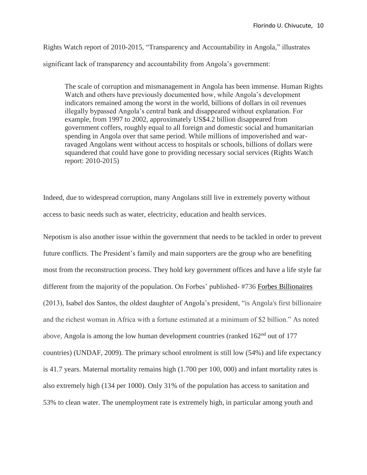Rights Watch report of 2010-2015, "Transparency and Accountability in Angola," illustrates significant lack of transparency and accountability from Angola's government:

The scale of corruption and mismanagement in Angola has been immense. Human Rights Watch and others have previously documented how, while Angola's development indicators remained among the worst in the world, billions of dollars in oil revenues illegally bypassed Angola's central bank and disappeared without explanation. For example, from 1997 to 2002, approximately US\$4.2 billion disappeared from government coffers, roughly equal to all foreign and domestic social and humanitarian spending in Angola over that same period. While millions of impoverished and warravaged Angolans went without access to hospitals or schools, billions of dollars were squandered that could have gone to providing necessary social services (Rights Watch report: 2010-2015)

Indeed, due to widespread corruption, many Angolans still live in extremely poverty without access to basic needs such as water, electricity, education and health services.

Nepotism is also another issue within the government that needs to be tackled in order to prevent future conflicts. The President's family and main supporters are the group who are benefiting most from the reconstruction process. They hold key government offices and have a life style far different from the majority of the population. On Forbes' published- #736 Forbes [Billionaires](http://www.forbes.com/billionaires/) (2013), Isabel dos Santos, the oldest daughter of Angola's president, "is Angola's first billionaire and the richest woman in Africa with a fortune estimated at a minimum of \$2 billion." As noted above, Angola is among the low human development countries (ranked 162<sup>nd</sup> out of 177 countries) (UNDAF, 2009). The primary school enrolment is still low (54%) and life expectancy is 41.7 years. Maternal mortality remains high (1.700 per 100, 000) and infant mortality rates is also extremely high (134 per 1000). Only 31% of the population has access to sanitation and 53% to clean water. The unemployment rate is extremely high, in particular among youth and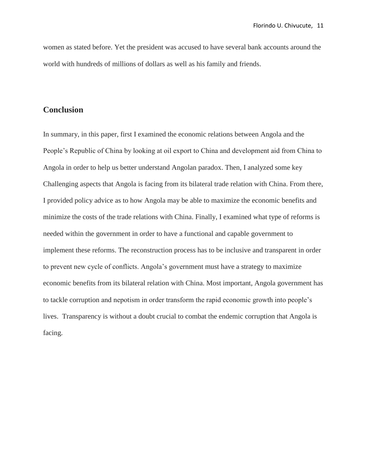women as stated before. Yet the president was accused to have several bank accounts around the world with hundreds of millions of dollars as well as his family and friends.

# **Conclusion**

In summary, in this paper, first I examined the economic relations between Angola and the People's Republic of China by looking at oil export to China and development aid from China to Angola in order to help us better understand Angolan paradox. Then, I analyzed some key Challenging aspects that Angola is facing from its bilateral trade relation with China. From there, I provided policy advice as to how Angola may be able to maximize the economic benefits and minimize the costs of the trade relations with China. Finally, I examined what type of reforms is needed within the government in order to have a functional and capable government to implement these reforms. The reconstruction process has to be inclusive and transparent in order to prevent new cycle of conflicts. Angola's government must have a strategy to maximize economic benefits from its bilateral relation with China. Most important, Angola government has to tackle corruption and nepotism in order transform the rapid economic growth into people's lives. Transparency is without a doubt crucial to combat the endemic corruption that Angola is facing.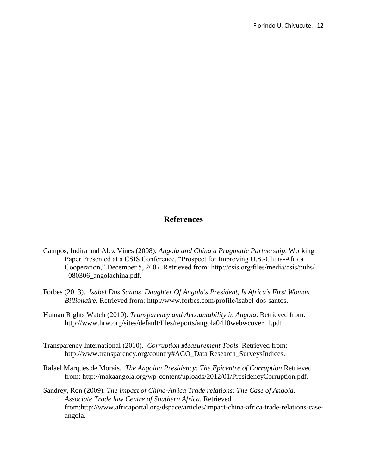# **References**

- Campos, Indira and Alex Vines (2008). *Angola and China a Pragmatic Partnership*. Working Paper Presented at a CSIS Conference, "Prospect for Improving U.S.-China-Africa Cooperation," December 5, 2007. Retrieved from: http://csis.org/files/media/csis/pubs/ 080306\_angolachina.pdf.
- Forbes (2013). *Isabel Dos Santos, Daughter Of Angola's [President,](http://www.forbes.com/sites/kerryadolan/2013/01/23/isabel-dos-santos-daughter-of-angolas-president-is-africas-first-woman-billionaire/) Is Africa's First Woman [Billionaire.](http://www.forbes.com/sites/kerryadolan/2013/01/23/isabel-dos-santos-daughter-of-angolas-president-is-africas-first-woman-billionaire/)* Retrieved from: [http://www.forbes.com/profile/isabel-dos-santos.](http://www.forbes.com/profile/isabel-dos-santos)
- Human Rights Watch (2010). *Transparency and Accountability in Angola*. Retrieved from: http://www.hrw.org/sites/default/files/reports/angola0410webwcover\_1.pdf.
- Transparency International (2010). *Corruption Measurement Tools*. Retrieved from: [http://www.transparency.org/country#AGO\\_Data](http://www.transparency.org/country#AGO_Data) Research\_SurveysIndices.
- Rafael Marques de Morais. *The Angolan Presidency: The Epicentre of Corruption* Retrieved from: http://makaangola.org/wp-content/uploads/2012/01/PresidencyCorruption.pdf.
- Sandrey, Ron (2009). *The impact of China-Africa Trade relations: The Case of Angola. Associate Trade law Centre of Southern Africa*. Retrieved from:http://www.africaportal.org/dspace/articles/impact-china-africa-trade-relations-caseangola.